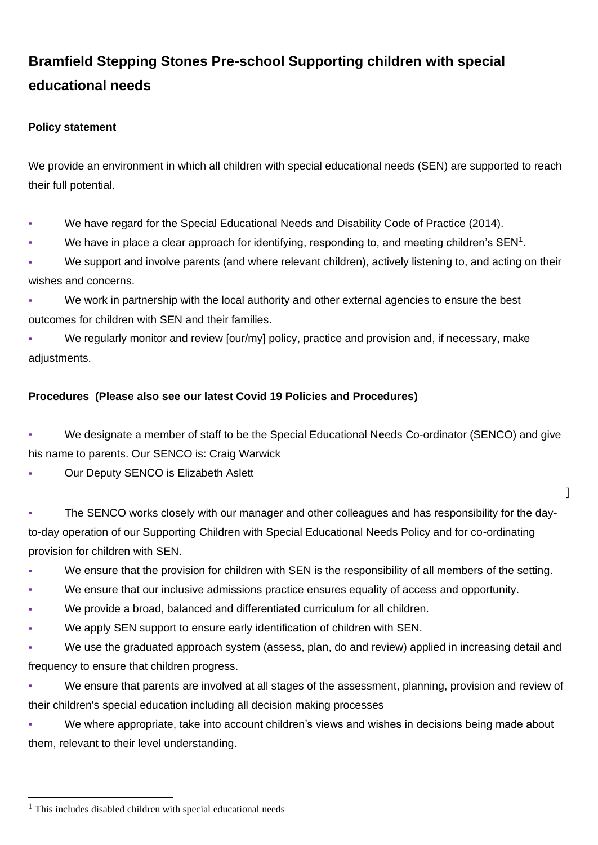## **Bramfield Stepping Stones Pre-school Supporting children with special educational needs**

## **Policy statement**

We provide an environment in which all children with special educational needs (SEN) are supported to reach their full potential.

We have regard for the Special Educational Needs and Disability Code of Practice (2014).

**•** We have in place a clear approach for identifying, responding to, and meeting children's SEN<sup>1</sup>.

We support and involve parents (and where relevant children), actively listening to, and acting on their wishes and concerns.

We work in partnership with the local authority and other external agencies to ensure the best outcomes for children with SEN and their families.

We regularly monitor and review [our/my] policy, practice and provision and, if necessary, make adjustments.

## **Procedures (Please also see our latest Covid 19 Policies and Procedures)**

▪ We designate a member of staff to be the Special Educational N**e**eds Co-ordinator (SENCO) and give his name to parents. Our SENCO is: Craig Warwick

Our Deputy SENCO is Elizabeth Aslett

]

The SENCO works closely with our manager and other colleagues and has responsibility for the dayto-day operation of our Supporting Children with Special Educational Needs Policy and for co-ordinating provision for children with SEN.

We ensure that the provision for children with SEN is the responsibility of all members of the setting.

- We ensure that our inclusive admissions practice ensures equality of access and opportunity.
- We provide a broad, balanced and differentiated curriculum for all children.
- We apply SEN support to ensure early identification of children with SEN.

We use the graduated approach system (assess, plan, do and review) applied in increasing detail and frequency to ensure that children progress.

We ensure that parents are involved at all stages of the assessment, planning, provision and review of their children's special education including all decision making processes

We where appropriate, take into account children's views and wishes in decisions being made about them, relevant to their level understanding.

<sup>1</sup> This includes disabled children with special educational needs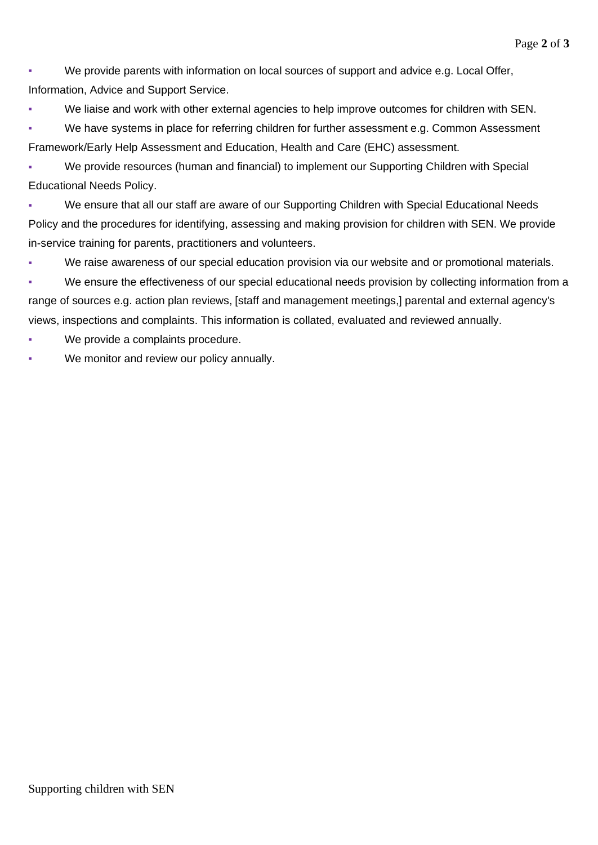We provide parents with information on local sources of support and advice e.g. Local Offer, Information, Advice and Support Service.

We liaise and work with other external agencies to help improve outcomes for children with SEN.

We have systems in place for referring children for further assessment e.g. Common Assessment Framework/Early Help Assessment and Education, Health and Care (EHC) assessment.

We provide resources (human and financial) to implement our Supporting Children with Special Educational Needs Policy.

▪ We ensure that all our staff are aware of our Supporting Children with Special Educational Needs Policy and the procedures for identifying, assessing and making provision for children with SEN. We provide in-service training for parents, practitioners and volunteers.

We raise awareness of our special education provision via our website and or promotional materials.

We ensure the effectiveness of our special educational needs provision by collecting information from a range of sources e.g. action plan reviews, [staff and management meetings,] parental and external agency's views, inspections and complaints. This information is collated, evaluated and reviewed annually.

We provide a complaints procedure.

We monitor and review our policy annually.